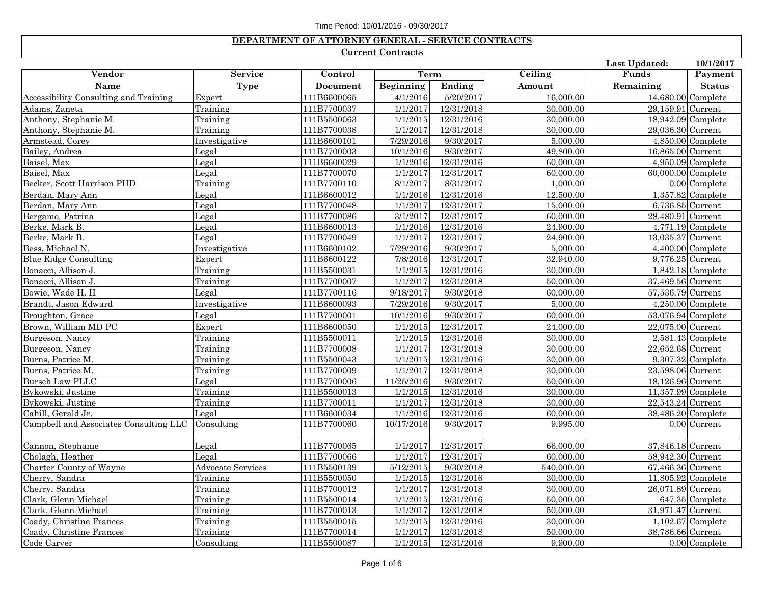## **DEPARTMENT OF ATTORNEY GENERAL - SERVICE CONTRACTS**

## **Current Contracts**

|                                        |                          |                 |                       |            |            | Last Updated:     | 10/1/2017            |
|----------------------------------------|--------------------------|-----------------|-----------------------|------------|------------|-------------------|----------------------|
| Vendor                                 | <b>Service</b>           | Control         | <b>Term</b>           |            | Ceiling    | Funds             | Payment              |
| Name                                   | <b>Type</b>              | <b>Document</b> | <b>Beginning</b>      | Ending     | Amount     | Remaining         | <b>Status</b>        |
| Accessibility Consulting and Training  | Expert                   | 111B6600065     | 4/1/2016              | 5/20/2017  | 16,000.00  |                   | 14,680.00 Complete   |
| Adams, Zaneta                          | Training                 | 111B7700037     | 1/1/2017              | 12/31/2018 | 30,000.00  | 29,159.91 Current |                      |
| Anthony, Stephanie M                   | Training                 | 111B5500063     | 1/1/2015              | 12/31/2016 | 30,000.00  |                   | 18,942.09 Complete   |
| Anthony, Stephanie M.                  | Training                 | 111B7700038     | 1/1/2017              | 12/31/2018 | 30,000.00  | 29,036.30 Current |                      |
| Armstead, Corey                        | Investigative            | 111B6600101     | 7/29/2016             | 9/30/2017  | 5,000.00   |                   | $4,850.00$ Complete  |
| Bailey, Andrea                         | Legal                    | 111B7700003     | 10/1/2016             | 9/30/2017  | 49,800.00  | 16,865.00 Current |                      |
| Baisel, Max                            | Legal                    | 111B6600029     | 1/1/2016              | 12/31/2016 | 60,000.00  |                   | $4,950.09$ Complete  |
| Baisel, Max                            | Legal                    | 111B7700070     | 1/1/2017              | 12/31/2017 | 60,000.00  |                   | 60,000.00 Complete   |
| Becker, Scott Harrison PHD             | Training                 | 111B7700110     | 8/1/2017              | 8/31/2017  | 1,000.00   |                   | $0.00$ Complete      |
| Berdan, Mary Ann                       | Legal                    | 111B6600012     | 1/1/2016              | 12/31/2016 | 12,500.00  |                   | $1,357.82$ Complete  |
| Berdan, Mary Ann                       | Legal                    | 111B7700048     | 1/1/2017              | 12/31/2017 | 15,000.00  |                   | 6,736.85 Current     |
| Bergamo, Patrina                       | Legal                    | 111B7700086     | 3/1/2017              | 12/31/2017 | 60,000.00  | 28,480.91 Current |                      |
| Berke, Mark B.                         | Legal                    | 111B6600013     | 1/1/2016              | 12/31/2016 | 24,900.00  |                   | $4,771.19$ Complete  |
| Berke, Mark B.                         | Legal                    | 111B7700049     | 1/1/2017              | 12/31/2017 | 24,900.00  | 13,035.37 Current |                      |
| Bess, Michael N.                       | Investigative            | 111B6600102     | 7/29/2016             | 9/30/2017  | 5,000.00   |                   | $4,400.00$ Complete  |
| <b>Blue Ridge Consulting</b>           | Expert                   | 111B6600122     | 7/8/2016              | 12/31/2017 | 32,940.00  |                   | 9,776.25 Current     |
| Bonacci, Allison J.                    | Training                 | 111B5500031     | 1/1/2015              | 12/31/2016 | 30,000.00  |                   | $1,842.18$ Complete  |
| Bonacci, Allison J.                    | Training                 | 111B7700007     | 1/1/2017              | 12/31/2018 | 50,000.00  | 37,469.56 Current |                      |
| Bowie, Wade H. II                      | Legal                    | 111B7700116     | 9/18/2017             | 9/30/2018  | 60,000.00  | 57,536.79 Current |                      |
| Brandt, Jason Edward                   | Investigative            | 111B6600093     | 7/29/2016             | 9/30/2017  | 5,000.00   |                   | $4,250.00$ Complete  |
| Broughton, Grace                       | Legal                    | 111B7700001     | 10/1/2016             | 9/30/2017  | 60,000.00  |                   | $53,076.94$ Complete |
| Brown, William MD PC                   | Expert                   | 111B6600050     | 1/1/2015              | 12/31/2017 | 24,000.00  | 22,075.00 Current |                      |
| Burgeson, Nancy                        | Training                 | 111B5500011     | 1/1/2015              | 12/31/2016 | 30,000.00  |                   | $2,581.43$ Complete  |
| Burgeson, Nancy                        | Training                 | 111B7700008     | 1/1/2017              | 12/31/2018 | 30,000.00  | 22,652.68 Current |                      |
| Burns, Patrice M.                      | Training                 | 111B5500043     | $\overline{1/1/2015}$ | 12/31/2016 | 30,000.00  |                   | $9,307.32$ Complete  |
| Burns, Patrice M.                      | Training                 | 111B7700009     | 1/1/2017              | 12/31/2018 | 30,000.00  | 23,598.06 Current |                      |
| Bursch Law PLLC                        | Legal                    | 111B7700006     | 11/25/2016            | 9/30/2017  | 50,000.00  | 18,126.96 Current |                      |
| Bykowski, Justine                      | Training                 | 111B5500013     | 1/1/2015              | 12/31/2016 | 30,000.00  |                   | $11,357.99$ Complete |
| Bykowski, Justine                      | Training                 | 111B7700011     | 1/1/2017              | 12/31/2018 | 30,000.00  | 22,543.24 Current |                      |
| Cahill, Gerald Jr.                     | Legal                    | 111B6600034     | 1/1/2016              | 12/31/2016 | 60,000.00  |                   | 38,486.20 Complete   |
| Campbell and Associates Consulting LLC | Consulting               | 111B7700060     | 10/17/2016            | 9/30/2017  | 9,995.00   |                   | $0.00$ Current       |
| Cannon, Stephanie                      | Legal                    | 111B7700065     | 1/1/2017              | 12/31/2017 | 66,000.00  | 37,846.18 Current |                      |
| Cholagh, Heather                       | Legal                    | 111B7700066     | 1/1/2017              | 12/31/2017 | 60,000.00  | 58,942.30 Current |                      |
| Charter County of Wayne                | <b>Advocate Services</b> | 111B5500139     | 5/12/2015             | 9/30/2018  | 540,000.00 | 67,466.36 Current |                      |
| Cherry, Sandra                         | Training                 | 111B5500050     | 1/1/2015              | 12/31/2016 | 30,000.00  |                   | 11,805.92 Complete   |
| Cherry, Sandra                         | Training                 | 111B7700012     | 1/1/2017              | 12/31/2018 | 30,000.00  | 26,071.89 Current |                      |
| Clark, Glenn Michael                   | Training                 | 111B5500014     | 1/1/2015              | 12/31/2016 | 50,000.00  |                   | 647.35 Complete      |
| Clark, Glenn Michael                   | Training                 | 111B7700013     | 1/1/2017              | 12/31/2018 | 50,000.00  | 31,971.47 Current |                      |
| Coady, Christine Frances               | Training                 | 111B5500015     | 1/1/2015              | 12/31/2016 | 30,000.00  |                   | $1,102.67$ Complete  |
| Coady, Christine Frances               | Training                 | 111B7700014     | 1/1/2017              | 12/31/2018 | 50,000.00  | 38,786.66 Current |                      |
| Code Carver                            | Consulting               | 111B5500087     | 1/1/2015              | 12/31/2016 | 9,900.00   |                   | $0.00$ Complete      |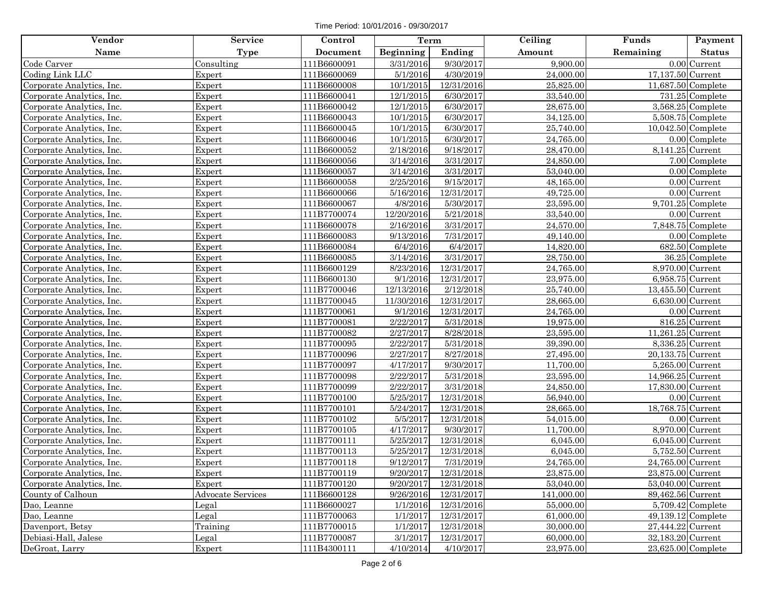Time Period: 10/01/2016 - 09/30/2017

| Vendor                    | <b>Service</b>           | Control     | Term       |            | Ceiling    | Funds              | Payment                   |
|---------------------------|--------------------------|-------------|------------|------------|------------|--------------------|---------------------------|
| Name                      | <b>Type</b>              | Document    | Beginning  | Ending     | Amount     | Remaining          | <b>Status</b>             |
| Code Carver               | Consulting               | 111B6600091 | 3/31/2016  | 9/30/2017  | 9,900.00   |                    | $0.00$ Current            |
| Coding Link LLC           | Expert                   | 111B6600069 | 5/1/2016   | 4/30/2019  | 24,000.00  | 17,137.50 Current  |                           |
| Corporate Analytics, Inc. | Expert                   | 111B6600008 | 10/1/2015  | 12/31/2016 | 25,825.00  | 11,687.50 Complete |                           |
| Corporate Analytics, Inc. | Expert                   | 111B6600041 | 12/1/2015  | 6/30/2017  | 33,540.00  |                    | 731.25 Complete           |
| Corporate Analytics, Inc. | Expert                   | 111B6600042 | 12/1/2015  | 6/30/2017  | 28,675.00  |                    | $3,568.25$ Complete       |
| Corporate Analytics, Inc. | Expert                   | 111B6600043 | 10/1/2015  | 6/30/2017  | 34,125.00  |                    | $5,508.75$ Complete       |
| Corporate Analytics, Inc. | Expert                   | 111B6600045 | 10/1/2015  | 6/30/2017  | 25,740.00  |                    | $10,042.50$ Complete      |
| Corporate Analytics, Inc. | Expert                   | 111B6600046 | 10/1/2015  | 6/30/2017  | 24,765.00  |                    | $0.00$ Complete           |
| Corporate Analytics, Inc. | Expert                   | 111B6600052 | 2/18/2016  | 9/18/2017  | 28,470.00  | 8,141.25 Current   |                           |
| Corporate Analytics, Inc. | Expert                   | 111B6600056 | 3/14/2016  | 3/31/2017  | 24,850.00  |                    | 7.00 Complete             |
| Corporate Analytics, Inc. | Expert                   | 111B6600057 | 3/14/2016  | 3/31/2017  | 53,040.00  |                    | $0.00$ Complete           |
| Corporate Analytics, Inc. | Expert                   | 111B6600058 | 2/25/2016  | 9/15/2017  | 48,165.00  |                    | $0.00$ Current            |
| Corporate Analytics, Inc. | Expert                   | 111B6600066 | 5/16/2016  | 12/31/2017 | 49,725.00  |                    | $0.00$ Current            |
| Corporate Analytics, Inc. | Expert                   | 111B6600067 | 4/8/2016   | 5/30/2017  | 23,595.00  |                    | $9,701.25$ Complete       |
| Corporate Analytics, Inc. | Expert                   | 111B7700074 | 12/20/2016 | 5/21/2018  | 33,540.00  |                    | $\overline{0.00}$ Current |
| Corporate Analytics, Inc. | Expert                   | 111B6600078 | 2/16/2016  | 3/31/2017  | 24,570.00  |                    | $7,848.75$ Complete       |
| Corporate Analytics, Inc. | Expert                   | 111B6600083 | 9/13/2016  | 7/31/2017  | 49,140.00  |                    | $0.00$ Complete           |
| Corporate Analytics, Inc. | Expert                   | 111B6600084 | 6/4/2016   | 6/4/2017   | 14,820.00  |                    | 682.50 Complete           |
| Corporate Analytics, Inc. | Expert                   | 111B6600085 | 3/14/2016  | 3/31/2017  | 28,750.00  |                    | 36.25 Complete            |
| Corporate Analytics, Inc. | Expert                   | 111B6600129 | 8/23/2016  | 12/31/2017 | 24,765.00  | 8,970.00 Current   |                           |
| Corporate Analytics, Inc. | Expert                   | 111B6600130 | 9/1/2016   | 12/31/2017 | 23,975.00  | 6,958.75 Current   |                           |
| Corporate Analytics, Inc. | Expert                   | 111B7700046 | 12/13/2016 | 2/12/2018  | 25,740.00  | 13,455.50 Current  |                           |
| Corporate Analytics, Inc. | Expert                   | 111B7700045 | 11/30/2016 | 12/31/2017 | 28,665.00  | 6,630.00 Current   |                           |
| Corporate Analytics, Inc. | Expert                   | 111B7700061 | 9/1/2016   | 12/31/2017 | 24,765.00  |                    | $0.00$ Current            |
| Corporate Analytics, Inc. | Expert                   | 111B7700081 | 2/22/2017  | 5/31/2018  | 19,975.00  |                    | 816.25 Current            |
| Corporate Analytics, Inc. | Expert                   | 111B7700082 | 2/27/2017  | 8/28/2018  | 23,595.00  | 11,261.25 Current  |                           |
| Corporate Analytics, Inc. | Expert                   | 111B7700095 | 2/22/2017  | 5/31/2018  | 39,390.00  | 8,336.25 Current   |                           |
| Corporate Analytics, Inc. | Expert                   | 111B7700096 | 2/27/2017  | 8/27/2018  | 27,495.00  | 20,133.75 Current  |                           |
| Corporate Analytics, Inc. | Expert                   | 111B7700097 | 4/17/2017  | 9/30/2017  | 11,700.00  | 5,265.00 Current   |                           |
| Corporate Analytics, Inc. | Expert                   | 111B7700098 | 2/22/2017  | 5/31/2018  | 23,595.00  | 14,966.25 Current  |                           |
| Corporate Analytics, Inc. | Expert                   | 111B7700099 | 2/22/2017  | 3/31/2018  | 24,850.00  | 17,830.00 Current  |                           |
| Corporate Analytics, Inc. | Expert                   | 111B7700100 | 5/25/2017  | 12/31/2018 | 56,940.00  |                    | $0.00$ Current            |
| Corporate Analytics, Inc. | Expert                   | 111B7700101 | 5/24/2017  | 12/31/2018 | 28,665.00  | 18,768.75 Current  |                           |
| Corporate Analytics, Inc. | Expert                   | 111B7700102 | 5/5/2017   | 12/31/2018 | 54,015.00  |                    | $0.00$ Current            |
| Corporate Analytics, Inc. | Expert                   | 111B7700105 | 4/17/2017  | 9/30/2017  | 11,700.00  | 8,970.00 Current   |                           |
| Corporate Analytics, Inc. | Expert                   | 111B7700111 | 5/25/2017  | 12/31/2018 | 6,045.00   | 6,045.00 Current   |                           |
| Corporate Analytics, Inc. | Expert                   | 111B7700113 | 5/25/2017  | 12/31/2018 | 6,045.00   | 5,752.50 Current   |                           |
| Corporate Analytics, Inc. | Expert                   | 111B7700118 | 9/12/2017  | 7/31/2019  | 24,765.00  | 24,765.00 Current  |                           |
| Corporate Analytics, Inc. | Expert                   | 111B7700119 | 9/20/2017  | 12/31/2018 | 23,875.00  | 23,875.00 Current  |                           |
| Corporate Analytics, Inc. | Expert                   | 111B7700120 | 9/20/2017  | 12/31/2018 | 53,040.00  | 53,040.00 Current  |                           |
| County of Calhoun         | <b>Advocate Services</b> | 111B6600128 | 9/26/2016  | 12/31/2017 | 141,000.00 | 89,462.56 Current  |                           |
| Dao, Leanne               | Legal                    | 111B6600027 | 1/1/2016   | 12/31/2016 | 55,000.00  |                    | $5,709.42$ Complete       |
| Dao, Leanne               | Legal                    | 111B7700063 | 1/1/2017   | 12/31/2017 | 61,000.00  |                    | $49,139.12$ Complete      |
| Davenport, Betsy          | Training                 | 111B7700015 | 1/1/2017   | 12/31/2018 | 30,000.00  | 27,444.22 Current  |                           |
| Debiasi-Hall, Jalese      | Legal                    | 111B7700087 | 3/1/2017   | 12/31/2017 | 60,000.00  | 32,183.20 Current  |                           |
| DeGroat, Larry            | Expert                   | 111B4300111 | 4/10/2014  | 4/10/2017  | 23,975.00  | 23,625.00 Complete |                           |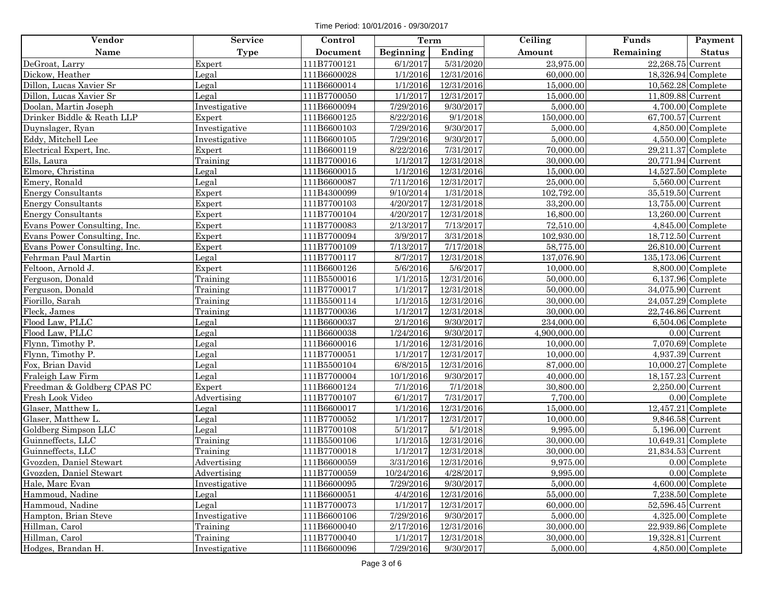Time Period: 10/01/2016 - 09/30/2017

| Name<br>Beginning<br>Ending<br>Amount<br>Remaining<br>Type<br>Document<br>23,975.00<br>22,268.75 Current<br>111B7700121<br>6/1/2017<br>5/31/2020<br>DeGroat, Larry<br>Expert<br>1/1/2016<br>12/31/2016<br>Dickow, Heather<br>111B6600028<br>60,000.00<br>18,326.94 Complete<br>Legal<br>Dillon, Lucas Xavier Sr<br>10,562.28 Complete<br>Legal<br>111B6600014<br>1/1/2016<br>12/31/2016<br>15,000.00<br>Dillon, Lucas Xavier Sr<br>11,809.88 Current<br>Legal<br>111B7700050<br>1/1/2017<br>12/31/2017<br>15,000.00<br>9/30/2017<br>$4,700.00$ Complete<br>Doolan, Martin Joseph<br>111B6600094<br>7/29/2016<br>5,000.00<br>Investigative<br>8/22/2016<br>9/1/2018<br>Drinker Biddle & Reath LLP<br>150,000.00<br>67,700.57 Current<br>111B6600125<br>Expert<br>7/29/2016<br>9/30/2017<br>$4,850.00$ Complete<br>Duynslager, Ryan<br>Investigative<br>111B6600103<br>5,000.00<br>Eddy, Mitchell Lee<br>7/29/2016<br>9/30/2017<br>5,000.00<br>$4,550.00$ Complete<br>Investigative<br>111B6600105<br>8/22/2016<br>70,000.00<br>$29,211.37$ Complete<br>Electrical Expert, Inc.<br>Expert<br>111B6600119<br>7/31/2017<br>1/1/2017<br>12/31/2018<br>Ells, Laura<br>Training<br>111B7700016<br>30,000.00<br>20,771.94 Current<br>Elmore, Christina<br>$14,527.50$ Complete<br>111B6600015<br>1/1/2016<br>12/31/2016<br>15,000.00<br>Legal<br>Emery, Ronald<br>111B6600087<br>7/11/2016<br>12/31/2017<br>25,000.00<br>5,560.00 Current<br>Legal | Payment       |
|--------------------------------------------------------------------------------------------------------------------------------------------------------------------------------------------------------------------------------------------------------------------------------------------------------------------------------------------------------------------------------------------------------------------------------------------------------------------------------------------------------------------------------------------------------------------------------------------------------------------------------------------------------------------------------------------------------------------------------------------------------------------------------------------------------------------------------------------------------------------------------------------------------------------------------------------------------------------------------------------------------------------------------------------------------------------------------------------------------------------------------------------------------------------------------------------------------------------------------------------------------------------------------------------------------------------------------------------------------------------------------------------------------------------------------------------|---------------|
|                                                                                                                                                                                                                                                                                                                                                                                                                                                                                                                                                                                                                                                                                                                                                                                                                                                                                                                                                                                                                                                                                                                                                                                                                                                                                                                                                                                                                                            | <b>Status</b> |
|                                                                                                                                                                                                                                                                                                                                                                                                                                                                                                                                                                                                                                                                                                                                                                                                                                                                                                                                                                                                                                                                                                                                                                                                                                                                                                                                                                                                                                            |               |
|                                                                                                                                                                                                                                                                                                                                                                                                                                                                                                                                                                                                                                                                                                                                                                                                                                                                                                                                                                                                                                                                                                                                                                                                                                                                                                                                                                                                                                            |               |
|                                                                                                                                                                                                                                                                                                                                                                                                                                                                                                                                                                                                                                                                                                                                                                                                                                                                                                                                                                                                                                                                                                                                                                                                                                                                                                                                                                                                                                            |               |
|                                                                                                                                                                                                                                                                                                                                                                                                                                                                                                                                                                                                                                                                                                                                                                                                                                                                                                                                                                                                                                                                                                                                                                                                                                                                                                                                                                                                                                            |               |
|                                                                                                                                                                                                                                                                                                                                                                                                                                                                                                                                                                                                                                                                                                                                                                                                                                                                                                                                                                                                                                                                                                                                                                                                                                                                                                                                                                                                                                            |               |
|                                                                                                                                                                                                                                                                                                                                                                                                                                                                                                                                                                                                                                                                                                                                                                                                                                                                                                                                                                                                                                                                                                                                                                                                                                                                                                                                                                                                                                            |               |
|                                                                                                                                                                                                                                                                                                                                                                                                                                                                                                                                                                                                                                                                                                                                                                                                                                                                                                                                                                                                                                                                                                                                                                                                                                                                                                                                                                                                                                            |               |
|                                                                                                                                                                                                                                                                                                                                                                                                                                                                                                                                                                                                                                                                                                                                                                                                                                                                                                                                                                                                                                                                                                                                                                                                                                                                                                                                                                                                                                            |               |
|                                                                                                                                                                                                                                                                                                                                                                                                                                                                                                                                                                                                                                                                                                                                                                                                                                                                                                                                                                                                                                                                                                                                                                                                                                                                                                                                                                                                                                            |               |
|                                                                                                                                                                                                                                                                                                                                                                                                                                                                                                                                                                                                                                                                                                                                                                                                                                                                                                                                                                                                                                                                                                                                                                                                                                                                                                                                                                                                                                            |               |
|                                                                                                                                                                                                                                                                                                                                                                                                                                                                                                                                                                                                                                                                                                                                                                                                                                                                                                                                                                                                                                                                                                                                                                                                                                                                                                                                                                                                                                            |               |
|                                                                                                                                                                                                                                                                                                                                                                                                                                                                                                                                                                                                                                                                                                                                                                                                                                                                                                                                                                                                                                                                                                                                                                                                                                                                                                                                                                                                                                            |               |
| 9/10/2014<br><b>Energy Consultants</b><br>Expert<br>1/31/2018<br>102,792.00<br>35,519.50 Current<br>111B4300099                                                                                                                                                                                                                                                                                                                                                                                                                                                                                                                                                                                                                                                                                                                                                                                                                                                                                                                                                                                                                                                                                                                                                                                                                                                                                                                            |               |
| 4/20/2017<br>12/31/2018<br>33,200.00<br>13,755.00 Current<br><b>Energy Consultants</b><br>Expert<br>111B7700103                                                                                                                                                                                                                                                                                                                                                                                                                                                                                                                                                                                                                                                                                                                                                                                                                                                                                                                                                                                                                                                                                                                                                                                                                                                                                                                            |               |
| <b>Energy Consultants</b><br>4/20/2017<br>12/31/2018<br>13,260.00 Current<br>Expert<br>111B7700104<br>16,800.00                                                                                                                                                                                                                                                                                                                                                                                                                                                                                                                                                                                                                                                                                                                                                                                                                                                                                                                                                                                                                                                                                                                                                                                                                                                                                                                            |               |
| 2/13/2017<br>7/13/2017<br>72,510.00<br>$4,845.00$ Complete<br>Evans Power Consulting, Inc.<br>Expert<br>111B7700083                                                                                                                                                                                                                                                                                                                                                                                                                                                                                                                                                                                                                                                                                                                                                                                                                                                                                                                                                                                                                                                                                                                                                                                                                                                                                                                        |               |
| 3/9/2017<br>3/31/2018<br>Evans Power Consulting, Inc.<br>Expert<br>111B7700094<br>102,930.00<br>18,712.50 Current                                                                                                                                                                                                                                                                                                                                                                                                                                                                                                                                                                                                                                                                                                                                                                                                                                                                                                                                                                                                                                                                                                                                                                                                                                                                                                                          |               |
| 26,810.00 Current<br>Evans Power Consulting, Inc.<br>111B7700109<br>7/13/2017<br>7/17/2018<br>58,775.00<br>Expert                                                                                                                                                                                                                                                                                                                                                                                                                                                                                                                                                                                                                                                                                                                                                                                                                                                                                                                                                                                                                                                                                                                                                                                                                                                                                                                          |               |
| 8/7/2017<br>12/31/2018<br>137,076.90<br>135,173.06 Current<br>Fehrman Paul Martin<br>Legal<br>111B7700117                                                                                                                                                                                                                                                                                                                                                                                                                                                                                                                                                                                                                                                                                                                                                                                                                                                                                                                                                                                                                                                                                                                                                                                                                                                                                                                                  |               |
| Feltoon, Arnold J.<br>Expert<br>5/6/2016<br>5/6/2017<br>10,000.00<br>8,800.00 Complete<br>111B6600126                                                                                                                                                                                                                                                                                                                                                                                                                                                                                                                                                                                                                                                                                                                                                                                                                                                                                                                                                                                                                                                                                                                                                                                                                                                                                                                                      |               |
| 12/31/2016<br>Training<br>1/1/2015<br>50,000.00<br>$6,137.96$ Complete<br>Ferguson, Donald<br>111B5500016                                                                                                                                                                                                                                                                                                                                                                                                                                                                                                                                                                                                                                                                                                                                                                                                                                                                                                                                                                                                                                                                                                                                                                                                                                                                                                                                  |               |
| Training<br>1/1/2017<br>34,075.90 Current<br>Ferguson, Donald<br>111B7700017<br>12/31/2018<br>50,000.00                                                                                                                                                                                                                                                                                                                                                                                                                                                                                                                                                                                                                                                                                                                                                                                                                                                                                                                                                                                                                                                                                                                                                                                                                                                                                                                                    |               |
| Fiorillo, Sarah<br>1/1/2015<br>12/31/2016<br>30,000.00<br>24,057.29 Complete<br>Training<br>111B5500114                                                                                                                                                                                                                                                                                                                                                                                                                                                                                                                                                                                                                                                                                                                                                                                                                                                                                                                                                                                                                                                                                                                                                                                                                                                                                                                                    |               |
| 12/31/2018<br>Fleck, James<br>Training<br>111B7700036<br>1/1/2017<br>30,000.00<br>22,746.86 Current                                                                                                                                                                                                                                                                                                                                                                                                                                                                                                                                                                                                                                                                                                                                                                                                                                                                                                                                                                                                                                                                                                                                                                                                                                                                                                                                        |               |
| Flood Law, PLLC<br>$6,504.06$ Complete<br>111B6600037<br>2/1/2016<br>9/30/2017<br>234,000.00<br>Legal                                                                                                                                                                                                                                                                                                                                                                                                                                                                                                                                                                                                                                                                                                                                                                                                                                                                                                                                                                                                                                                                                                                                                                                                                                                                                                                                      |               |
| Flood Law, PLLC<br>0.00 Current<br>Legal<br>111B6600038<br>1/24/2016<br>9/30/2017<br>4,900,000.00                                                                                                                                                                                                                                                                                                                                                                                                                                                                                                                                                                                                                                                                                                                                                                                                                                                                                                                                                                                                                                                                                                                                                                                                                                                                                                                                          |               |
| 1/1/2016<br>12/31/2016<br>10,000.00<br>$7,070.69$ Complete<br>Flynn, Timothy P.<br>111B6600016<br>Legal                                                                                                                                                                                                                                                                                                                                                                                                                                                                                                                                                                                                                                                                                                                                                                                                                                                                                                                                                                                                                                                                                                                                                                                                                                                                                                                                    |               |
| 111B7700051<br>1/1/2017<br>12/31/2017<br>10,000.00<br>4,937.39 Current<br>Flynn, Timothy P.<br>Legal                                                                                                                                                                                                                                                                                                                                                                                                                                                                                                                                                                                                                                                                                                                                                                                                                                                                                                                                                                                                                                                                                                                                                                                                                                                                                                                                       |               |
| Fox, Brian David<br>$10,000.27$ Complete<br>Legal<br>6/8/2015<br>12/31/2016<br>87,000.00<br>111B5500104                                                                                                                                                                                                                                                                                                                                                                                                                                                                                                                                                                                                                                                                                                                                                                                                                                                                                                                                                                                                                                                                                                                                                                                                                                                                                                                                    |               |
| Fraleigh Law Firm<br>Legal<br>111B7700004<br>10/1/2016<br>9/30/2017<br>40,000.00<br>18,157.23 Current                                                                                                                                                                                                                                                                                                                                                                                                                                                                                                                                                                                                                                                                                                                                                                                                                                                                                                                                                                                                                                                                                                                                                                                                                                                                                                                                      |               |
| Freedman & Goldberg CPAS PC<br>7/1/2016<br>7/1/2018<br>30,800.00<br>Expert<br>111B6600124<br>$2,250.00$ Current                                                                                                                                                                                                                                                                                                                                                                                                                                                                                                                                                                                                                                                                                                                                                                                                                                                                                                                                                                                                                                                                                                                                                                                                                                                                                                                            |               |
| Advertising<br>Fresh Look Video<br>111B7700107<br>6/1/2017<br>7/31/2017<br>7,700.00<br>$0.00$ Complete                                                                                                                                                                                                                                                                                                                                                                                                                                                                                                                                                                                                                                                                                                                                                                                                                                                                                                                                                                                                                                                                                                                                                                                                                                                                                                                                     |               |
| Glaser, Matthew L.<br>1/1/2016<br>12/31/2016<br>$12,457.21$ Complete<br>111B6600017<br>15,000.00<br>Legal                                                                                                                                                                                                                                                                                                                                                                                                                                                                                                                                                                                                                                                                                                                                                                                                                                                                                                                                                                                                                                                                                                                                                                                                                                                                                                                                  |               |
| 111B7700052<br>1/1/2017<br>12/31/2017<br>10,000.00<br>9,846.58 Current<br>Glaser, Matthew L.<br>Legal                                                                                                                                                                                                                                                                                                                                                                                                                                                                                                                                                                                                                                                                                                                                                                                                                                                                                                                                                                                                                                                                                                                                                                                                                                                                                                                                      |               |
| Goldberg Simpson LLC<br>Legal<br>111B7700108<br>5/1/2017<br>5/1/2018<br>9,995.00<br>5,196.00 Current                                                                                                                                                                                                                                                                                                                                                                                                                                                                                                                                                                                                                                                                                                                                                                                                                                                                                                                                                                                                                                                                                                                                                                                                                                                                                                                                       |               |
| Guinneffects, LLC<br>Training<br>12/31/2016<br>10,649.31 Complete<br>1/1/2015<br>30,000.00<br>111B5500106                                                                                                                                                                                                                                                                                                                                                                                                                                                                                                                                                                                                                                                                                                                                                                                                                                                                                                                                                                                                                                                                                                                                                                                                                                                                                                                                  |               |
| Guinneffects, LLC<br>111B7700018<br>1/1/2017<br>12/31/2018<br>30,000.00<br>21,834.53 Current<br>Training                                                                                                                                                                                                                                                                                                                                                                                                                                                                                                                                                                                                                                                                                                                                                                                                                                                                                                                                                                                                                                                                                                                                                                                                                                                                                                                                   |               |
| 3/31/2016<br>$0.00$ Complete<br>Advertising<br>111B6600059<br>12/31/2016<br>9,975.00<br>Gvozden. Daniel Stewart                                                                                                                                                                                                                                                                                                                                                                                                                                                                                                                                                                                                                                                                                                                                                                                                                                                                                                                                                                                                                                                                                                                                                                                                                                                                                                                            |               |
| Advertising<br>4/28/2017<br>$\overline{0.00}$ Complete<br>Gvozden, Daniel Stewart<br>111B7700059<br>10/24/2016<br>9,995.00                                                                                                                                                                                                                                                                                                                                                                                                                                                                                                                                                                                                                                                                                                                                                                                                                                                                                                                                                                                                                                                                                                                                                                                                                                                                                                                 |               |
| $4,600.00$ Complete<br>111B6600095<br>7/29/2016<br>9/30/2017<br>5,000.00<br>Hale, Marc Evan<br>Investigative                                                                                                                                                                                                                                                                                                                                                                                                                                                                                                                                                                                                                                                                                                                                                                                                                                                                                                                                                                                                                                                                                                                                                                                                                                                                                                                               |               |
| 4/4/2016<br>12/31/2016<br>55,000.00<br>Hammoud, Nadine<br>111B6600051<br>$7,238.50$ Complete<br>Legal                                                                                                                                                                                                                                                                                                                                                                                                                                                                                                                                                                                                                                                                                                                                                                                                                                                                                                                                                                                                                                                                                                                                                                                                                                                                                                                                      |               |
| 111B7700073<br>1/1/2017<br>60,000.00<br>Hammoud, Nadine<br>Legal<br>12/31/2017<br>52,596.45 Current                                                                                                                                                                                                                                                                                                                                                                                                                                                                                                                                                                                                                                                                                                                                                                                                                                                                                                                                                                                                                                                                                                                                                                                                                                                                                                                                        |               |
| 7/29/2016<br>$4,325.00$ Complete<br>Hampton, Brian Steve<br>Investigative<br>111B6600106<br>9/30/2017<br>5,000.00                                                                                                                                                                                                                                                                                                                                                                                                                                                                                                                                                                                                                                                                                                                                                                                                                                                                                                                                                                                                                                                                                                                                                                                                                                                                                                                          |               |
| 2/17/2016<br>Hillman, Carol<br>111B6600040<br>12/31/2016<br>30,000.00<br>22,939.86 Complete<br>Training                                                                                                                                                                                                                                                                                                                                                                                                                                                                                                                                                                                                                                                                                                                                                                                                                                                                                                                                                                                                                                                                                                                                                                                                                                                                                                                                    |               |
| Hillman, Carol<br>Training<br>111B7700040<br>1/1/2017<br>12/31/2018<br>30,000.00<br>19,328.81 Current                                                                                                                                                                                                                                                                                                                                                                                                                                                                                                                                                                                                                                                                                                                                                                                                                                                                                                                                                                                                                                                                                                                                                                                                                                                                                                                                      |               |
| Hodges, Brandan H.<br>7/29/2016<br>$4,850.00$ Complete<br>Investigative<br>111B6600096<br>9/30/2017<br>5,000.00                                                                                                                                                                                                                                                                                                                                                                                                                                                                                                                                                                                                                                                                                                                                                                                                                                                                                                                                                                                                                                                                                                                                                                                                                                                                                                                            |               |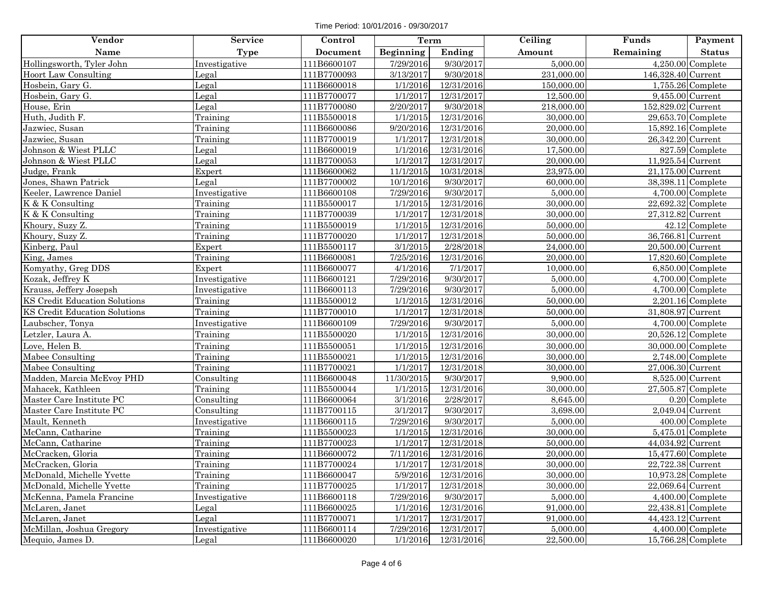Time Period: 10/01/2016 - 09/30/2017

| Vendor                        | <b>Service</b> | Control     | Term             |            | Ceiling    | Funds                | Payment             |
|-------------------------------|----------------|-------------|------------------|------------|------------|----------------------|---------------------|
| Name                          | <b>Type</b>    | Document    | <b>Beginning</b> | Ending     | Amount     | Remaining            | <b>Status</b>       |
| Hollingsworth, Tyler John     | Investigative  | 111B6600107 | 7/29/2016        | 9/30/2017  | 5,000.00   |                      | $4,250.00$ Complete |
| Hoort Law Consulting          | Legal          | 111B7700093 | 3/13/2017        | 9/30/2018  | 231,000.00 | 146,328.40 Current   |                     |
| Hosbein, Gary G.              | Legal          | 111B6600018 | 1/1/2016         | 12/31/2016 | 150,000.00 |                      | $1,755.26$ Complete |
| Hosbein, Gary G.              | Legal          | 111B7700077 | 1/1/2017         | 12/31/2017 | 12,500.00  | 9,455.00 Current     |                     |
| House, Erin                   | Legal          | 111B7700080 | 2/20/2017        | 9/30/2018  | 218,000.00 | 152,829.02 Current   |                     |
| Huth, Judith F.               | Training       | 111B5500018 | 1/1/2015         | 12/31/2016 | 30,000.00  | 29,653.70 Complete   |                     |
| Jazwiec, Susan                | Training       | 111B6600086 | 9/20/2016        | 12/31/2016 | 20,000.00  | 15,892.16 Complete   |                     |
| Jazwiec, Susan                | Training       | 111B7700019 | 1/1/2017         | 12/31/2018 | 30,000.00  | 26,342.20 Current    |                     |
| Johnson & Wiest PLLC          | Legal          | 111B6600019 | 1/1/2016         | 12/31/2016 | 17,500.00  |                      | 827.59 Complete     |
| Johnson & Wiest PLLC          | Legal          | 111B7700053 | 1/1/2017         | 12/31/2017 | 20,000.00  | $11,925.54$ Current  |                     |
| Judge, Frank                  | Expert         | 111B6600062 | 11/1/2015        | 10/31/2018 | 23,975.00  | 21,175.00 Current    |                     |
| Jones, Shawn Patrick          | Legal          | 111B7700002 | 10/1/2016        | 9/30/2017  | 60,000.00  | 38,398.11 Complete   |                     |
| Keeler, Lawrence Daniel       | Investigative  | 111B6600108 | 7/29/2016        | 9/30/2017  | 5,000.00   |                      | $4,700.00$ Complete |
| K & K Consulting              | Training       | 111B5500017 | 1/1/2015         | 12/31/2016 | 30,000.00  | 22,692.32 Complete   |                     |
| K & K Consulting              | Training       | 111B7700039 | 1/1/2017         | 12/31/2018 | 30,000.00  | 27,312.82 Current    |                     |
| Khoury, Suzy Z.               | Training       | 111B5500019 | 1/1/2015         | 12/31/2016 | 50,000.00  |                      | 42.12 Complete      |
| Khoury, Suzy Z.               | Training       | 111B7700020 | 1/1/2017         | 12/31/2018 | 50,000.00  | 36,766.81 Current    |                     |
| Kinberg, Paul                 | Expert         | 111B5500117 | 3/1/2015         | 2/28/2018  | 24,000.00  | 20,500.00 Current    |                     |
| King, James                   | Training       | 111B6600081 | 7/25/2016        | 12/31/2016 | 20,000.00  | 17,820.60 Complete   |                     |
| Komyathy, Greg DDS            | Expert         | 111B6600077 | 4/1/2016         | 7/1/2017   | 10,000.00  |                      | $6,850.00$ Complete |
| Kozak, Jeffrey K              | Investigative  | 111B6600121 | 7/29/2016        | 9/30/2017  | 5,000.00   |                      | $4,700.00$ Complete |
| Krauss, Jeffery Josepsh       | Investigative  | 111B6600113 | 7/29/2016        | 9/30/2017  | 5,000.00   |                      | $4,700.00$ Complete |
| KS Credit Education Solutions | Training       | 111B5500012 | 1/1/2015         | 12/31/2016 | 50,000.00  |                      | $2,201.16$ Complete |
| KS Credit Education Solutions | Training       | 111B7700010 | 1/1/2017         | 12/31/2018 | 50,000.00  | 31,808.97 Current    |                     |
| Laubscher, Tonya              | Investigative  | 111B6600109 | 7/29/2016        | 9/30/2017  | 5,000.00   |                      | $4,700.00$ Complete |
| Letzler, Laura A.             | Training       | 111B5500020 | 1/1/2015         | 12/31/2016 | 30,000.00  | 20,526.12 Complete   |                     |
| Love, Helen B.                | Training       | 111B5500051 | 1/1/2015         | 12/31/2016 | 30,000.00  | 30,000.00 Complete   |                     |
| Mabee Consulting              | Training       | 111B5500021 | 1/1/2015         | 12/31/2016 | 30,000.00  |                      | $2,748.00$ Complete |
| Mabee Consulting              | Training       | 111B7700021 | 1/1/2017         | 12/31/2018 | 30,000.00  | 27,006.30 Current    |                     |
| Madden, Marcia McEvoy PHD     | Consulting     | 111B6600048 | 11/30/2015       | 9/30/2017  | 9,900.00   | 8,525.00 Current     |                     |
| Mahacek, Kathleen             | Training       | 111B5500044 | 1/1/2015         | 12/31/2016 | 30,000.00  | $27,505.87$ Complete |                     |
| Master Care Institute PC      | Consulting     | 111B6600064 | 3/1/2016         | 2/28/2017  | 8,645.00   |                      | $0.20$ Complete     |
| Master Care Institute PC      | Consulting     | 111B7700115 | 3/1/2017         | 9/30/2017  | 3,698.00   | 2,049.04 Current     |                     |
| Mault, Kenneth                | Investigative  | 111B6600115 | 7/29/2016        | 9/30/2017  | 5,000.00   |                      | 400.00 Complete     |
| McCann, Catharine             | Training       | 111B5500023 | 1/1/2015         | 12/31/2016 | 30,000.00  |                      | $5,475.01$ Complete |
| McCann, Catharine             | Training       | 111B7700023 | 1/1/2017         | 12/31/2018 | 50,000.00  | 44,034.92 Current    |                     |
| McCracken, Gloria             | Training       | 111B6600072 | 7/11/2016        | 12/31/2016 | 20,000.00  | 15,477.60 Complete   |                     |
| McCracken, Gloria             | Training       | 111B7700024 | 1/1/2017         | 12/31/2018 | 30,000.00  | 22,722.38 Current    |                     |
| McDonald, Michelle Yvette     | Training       | 111B6600047 | 5/9/2016         | 12/31/2016 | 30,000.00  | 10,973.28 Complete   |                     |
| McDonald, Michelle Yvette     | Training       | 111B7700025 | 1/1/2017         | 12/31/2018 | 30,000.00  | 22,069.64 Current    |                     |
| McKenna, Pamela Francine      | Investigative  | 111B6600118 | 7/29/2016        | 9/30/2017  | 5,000.00   |                      | $4,400.00$ Complete |
| McLaren, Janet                | Legal          | 111B6600025 | 1/1/2016         | 12/31/2016 | 91,000.00  | $22,438.81$ Complete |                     |
| McLaren, Janet                | Legal          | 111B7700071 | 1/1/2017         | 12/31/2017 | 91,000.00  | 44,423.12 Current    |                     |
| McMillan, Joshua Gregory      | Investigative  | 111B6600114 | 7/29/2016        | 12/31/2017 | 5,000.00   |                      | $4,400.00$ Complete |
| Mequio, James D.              | Legal          | 111B6600020 | 1/1/2016         | 12/31/2016 | 22,500.00  | 15,766.28 Complete   |                     |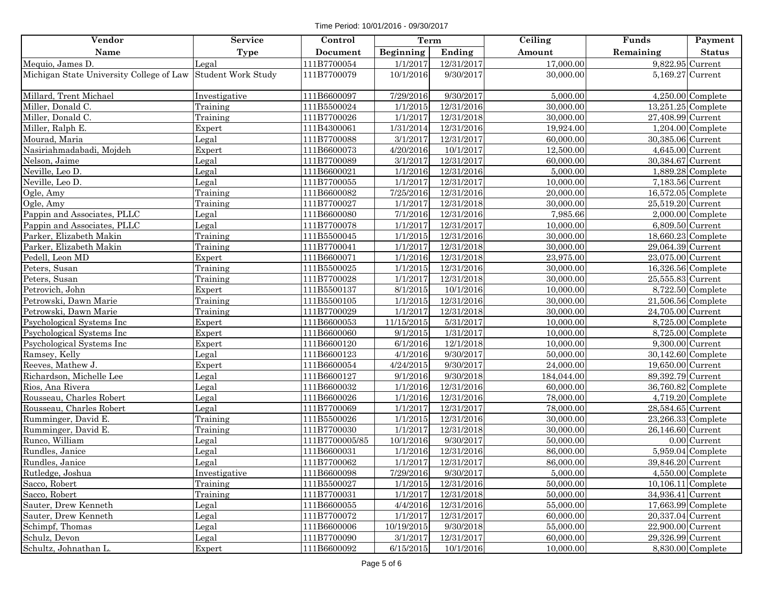Time Period: 10/01/2016 - 09/30/2017

| Vendor                                                      | <b>Service</b> | Control         | Term             |            | Ceiling    | Funds                | Payment              |
|-------------------------------------------------------------|----------------|-----------------|------------------|------------|------------|----------------------|----------------------|
| Name                                                        | <b>Type</b>    | <b>Document</b> | <b>Beginning</b> | Ending     | Amount     | Remaining            | <b>Status</b>        |
| Mequio, James D.                                            | Legal          | 111B7700054     | 1/1/2017         | 12/31/2017 | 17,000.00  | 9,822.95 Current     |                      |
| Michigan State University College of Law Student Work Study |                | 111B7700079     | 10/1/2016        | 9/30/2017  | 30,000.00  | 5,169.27 Current     |                      |
| Millard, Trent Michael                                      | Investigative  | 111B6600097     | 7/29/2016        | 9/30/2017  | 5,000.00   |                      | $4,250.00$ Complete  |
| Miller, Donald C.                                           | Training       | 111B5500024     | 1/1/2015         | 12/31/2016 | 30,000.00  |                      | 13,251.25 Complete   |
| Miller, Donald C.                                           | Training       | 111B7700026     | 1/1/2017         | 12/31/2018 | 30,000.00  | 27,408.99 Current    |                      |
| Miller, Ralph E.                                            | Expert         | 111B4300061     | 1/31/2014        | 12/31/2016 | 19,924.00  |                      | $1,204.00$ Complete  |
| Mourad, Maria                                               | Legal          | 111B7700088     | 3/1/2017         | 12/31/2017 | 60,000.00  | 30,385.06 Current    |                      |
| Nasiriahmadabadi, Mojdeh                                    | Expert         | 111B6600073     | 4/20/2016        | 10/1/2017  | 12,500.00  | 4,645.00 Current     |                      |
| Nelson, Jaime                                               | Legal          | 111B7700089     | 3/1/2017         | 12/31/2017 | 60,000.00  | 30,384.67 Current    |                      |
| Neville, Leo D.                                             | Legal          | 111B6600021     | 1/1/2016         | 12/31/2016 | 5,000.00   |                      | $1,889.28$ Complete  |
| Neville, Leo D.                                             | Legal          | 111B7700055     | 1/1/2017         | 12/31/2017 | 10,000.00  | 7,183.56 Current     |                      |
| Ogle, Amy                                                   | Training       | 111B6600082     | 7/25/2016        | 12/31/2016 | 20,000.00  | 16,572.05 Complete   |                      |
| Ogle, Amy                                                   | Training       | 111B7700027     | 1/1/2017         | 12/31/2018 | 30,000.00  | 25,519.20 Current    |                      |
| Pappin and Associates, PLLC                                 | Legal          | 111B6600080     | 7/1/2016         | 12/31/2016 | 7,985.66   |                      | $2,000.00$ Complete  |
| Pappin and Associates, PLLC                                 | Legal          | 111B7700078     | 1/1/2017         | 12/31/2017 | 10,000.00  | 6,809.50 Current     |                      |
| Parker, Elizabeth Makin                                     | Training       | 111B5500045     | 1/1/2015         | 12/31/2016 | 30,000.00  |                      | $18,660.23$ Complete |
| Parker, Elizabeth Makin                                     | Training       | 111B7700041     | 1/1/2017         | 12/31/2018 | 30,000.00  | 29,064.39 Current    |                      |
| Pedell, Leon MD                                             | Expert         | 111B6600071     | 1/1/2016         | 12/31/2018 | 23,975.00  | 23,075.00 Current    |                      |
| Peters, Susan                                               | Training       | 111B5500025     | 1/1/2015         | 12/31/2016 | 30,000.00  | 16,326.56 Complete   |                      |
| Peters, Susan                                               | Training       | 111B7700028     | 1/1/2017         | 12/31/2018 | 30,000.00  | 25,555.83 Current    |                      |
| Petrovich, John                                             | Expert         | 111B5500137     | 8/1/2015         | 10/1/2016  | 10,000.00  |                      | $8,722.50$ Complete  |
| Petrowski, Dawn Marie                                       | Training       | 111B5500105     | 1/1/2015         | 12/31/2016 | 30,000.00  | 21,506.56 Complete   |                      |
| Petrowski, Dawn Marie                                       | Training       | 111B7700029     | 1/1/2017         | 12/31/2018 | 30,000.00  | 24,705.00 Current    |                      |
| Psychological Systems Inc                                   | Expert         | 111B6600053     | 11/15/2015       | 5/31/2017  | 10,000.00  |                      | $8,725.00$ Complete  |
| Psychological Systems Inc                                   | Expert         | 111B6600060     | 9/1/2015         | 1/31/2017  | 10,000.00  |                      | $8,725.00$ Complete  |
| Psychological Systems Inc                                   | Expert         | 111B6600120     | 6/1/2016         | 12/1/2018  | 10,000.00  | 9,300.00 Current     |                      |
| Ramsey, Kelly                                               | Legal          | 111B6600123     | 4/1/2016         | 9/30/2017  | 50,000.00  | 30,142.60 Complete   |                      |
| Reeves, Mathew J.                                           | Expert         | 111B6600054     | 4/24/2015        | 9/30/2017  | 24,000.00  | 19,650.00 Current    |                      |
| Richardson, Michelle Lee                                    | Legal          | 111B6600127     | 9/1/2016         | 9/30/2018  | 184,044.00 | 89,392.79 Current    |                      |
| Rios, Ana Rivera                                            | Legal          | 111B6600032     | 1/1/2016         | 12/31/2016 | 60,000.00  | 36,760.82 Complete   |                      |
| Rousseau, Charles Robert                                    | Legal          | 111B6600026     | 1/1/2016         | 12/31/2016 | 78,000.00  |                      | $4,719.20$ Complete  |
| Rousseau, Charles Robert                                    | Legal          | 111B7700069     | 1/1/2017         | 12/31/2017 | 78,000.00  | 28,584.65 Current    |                      |
| Rumminger, David E.                                         | Training       | 111B5500026     | 1/1/2015         | 12/31/2016 | 30,000.00  | 23,266.33 Complete   |                      |
| Rumminger, David E.                                         | Training       | 111B7700030     | 1/1/2017         | 12/31/2018 | 30,000.00  | 26,146.60 Current    |                      |
| Runco, William                                              | Legal          | 111B7700005/85  | 10/1/2016        | 9/30/2017  | 50,000.00  |                      | $0.00$ Current       |
| Rundles, Janice                                             | Legal          | 111B6600031     | 1/1/2016         | 12/31/2016 | 86,000.00  |                      | $5,959.04$ Complete  |
| Rundles, Janice                                             | Legal          | 111B7700062     | 1/1/2017         | 12/31/2017 | 86,000.00  | 39,846.20 Current    |                      |
| Rutledge, Joshua                                            | Investigative  | 111B6600098     | 7/29/2016        | 9/30/2017  | 5,000.00   |                      | $4,550.00$ Complete  |
| Sacco, Robert                                               | Training       | 111B5500027     | 1/1/2015         | 12/31/2016 | 50,000.00  | $10,106.11$ Complete |                      |
| Sacco, Robert                                               | Training       | 111B7700031     | 1/1/2017         | 12/31/2018 | 50,000.00  | 34,936.41 Current    |                      |
| Sauter, Drew Kenneth                                        | Legal          | 111B6600055     | 4/4/2016         | 12/31/2016 | 55,000.00  | $17,663.99$ Complete |                      |
| Sauter, Drew Kenneth                                        | Legal          | 111B7700072     | 1/1/2017         | 12/31/2017 | 60,000.00  | 20,337.04 Current    |                      |
| Schimpf, Thomas                                             | Legal          | 111B6600006     | 10/19/2015       | 9/30/2018  | 55,000.00  | 22,900.00 Current    |                      |
| Schulz, Devon                                               | Legal          | 111B7700090     | 3/1/2017         | 12/31/2017 | 60,000.00  | 29,326.99 Current    |                      |
| Schultz, Johnathan L.                                       | Expert         | 111B6600092     | 6/15/2015        | 10/1/2016  | 10.000.00  |                      | 8,830.00 Complete    |